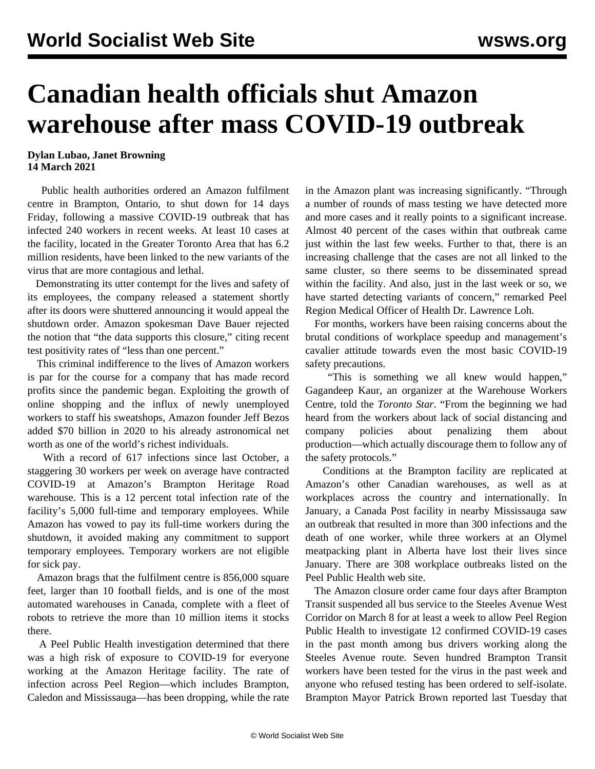## **Canadian health officials shut Amazon warehouse after mass COVID-19 outbreak**

## **Dylan Lubao, Janet Browning 14 March 2021**

 Public health authorities ordered an Amazon fulfilment centre in Brampton, Ontario, to shut down for 14 days Friday, following a massive COVID-19 outbreak that has infected 240 workers in recent weeks. At least 10 cases at the facility, located in the Greater Toronto Area that has 6.2 million residents, have been linked to the new variants of the virus that are more contagious and lethal.

 Demonstrating its utter contempt for the lives and safety of its employees, the company released a statement shortly after its doors were shuttered announcing it would appeal the shutdown order. Amazon spokesman Dave Bauer rejected the notion that "the data supports this closure," citing recent test positivity rates of "less than one percent."

 This criminal indifference to the lives of Amazon workers is par for the course for a company that has made record profits since the pandemic began. Exploiting the growth of online shopping and the influx of newly unemployed workers to staff his sweatshops, Amazon founder Jeff Bezos added \$70 billion in 2020 to his already astronomical net worth as one of the world's richest individuals.

 With a record of 617 infections since last October, a staggering 30 workers per week on average have contracted COVID-19 at Amazon's Brampton Heritage Road warehouse. This is a 12 percent total infection rate of the facility's 5,000 full-time and temporary employees. While Amazon has vowed to pay its full-time workers during the shutdown, it avoided making any commitment to support temporary employees. Temporary workers are not eligible for sick pay.

 Amazon brags that the fulfilment centre is 856,000 square feet, larger than 10 football fields, and is one of the most automated warehouses in Canada, complete with a fleet of robots to retrieve the more than 10 million items it stocks there.

 A Peel Public Health investigation determined that there was a high risk of exposure to COVID-19 for everyone working at the Amazon Heritage facility. The rate of infection across Peel Region—which includes Brampton, Caledon and Mississauga—has been dropping, while the rate in the Amazon plant was increasing significantly. "Through a number of rounds of mass testing we have detected more and more cases and it really points to a significant increase. Almost 40 percent of the cases within that outbreak came just within the last few weeks. Further to that, there is an increasing challenge that the cases are not all linked to the same cluster, so there seems to be disseminated spread within the facility. And also, just in the last week or so, we have started detecting variants of concern," remarked Peel Region Medical Officer of Health Dr. Lawrence Loh.

 For months, workers have been raising concerns about the brutal conditions of workplace speedup and management's cavalier attitude towards even the most basic COVID-19 safety precautions.

 "This is something we all knew would happen," Gagandeep Kaur, an organizer at the Warehouse Workers Centre, told the *Toronto Star*. "From the beginning we had heard from the workers about lack of social distancing and company policies about penalizing them about production—which actually discourage them to follow any of the safety protocols."

 Conditions at the Brampton facility are replicated at Amazon's other Canadian warehouses, as well as at workplaces across the country and internationally. In January, a Canada Post facility in nearby Mississauga saw an outbreak that resulted in more than 300 infections and the death of one worker, while three workers at an Olymel meatpacking plant in Alberta have lost their lives since January. There are 308 workplace outbreaks listed on the Peel Public Health web site.

 The Amazon closure order came four days after Brampton Transit suspended all bus service to the Steeles Avenue West Corridor on March 8 for at least a week to allow Peel Region Public Health to investigate 12 confirmed COVID-19 cases in the past month among bus drivers working along the Steeles Avenue route. Seven hundred Brampton Transit workers have been tested for the virus in the past week and anyone who refused testing has been ordered to self-isolate. Brampton Mayor Patrick Brown reported last Tuesday that